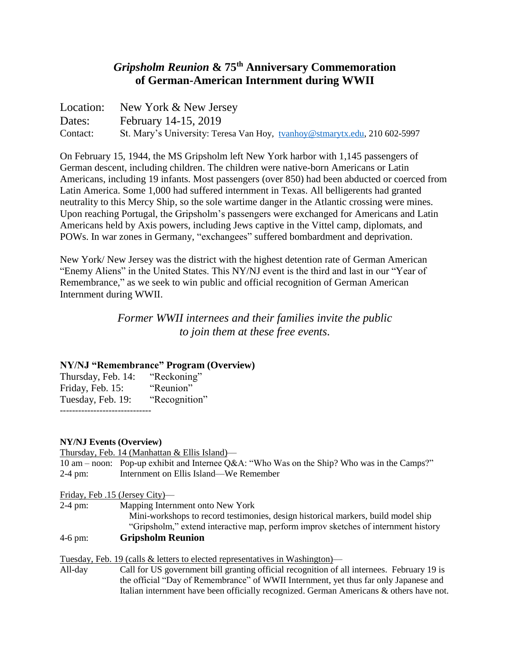# *Gripsholm Reunion* **& 75th Anniversary Commemoration of German-American Internment during WWII**

Location: New York & New Jersey Dates: February 14-15, 2019 Contact: St. Mary's University: Teresa Van Hoy, [tvanhoy@stmarytx.edu,](mailto:tvanhoy@stmarytx.edu) 210 602-5997

On February 15, 1944, the MS Gripsholm left New York harbor with 1,145 passengers of German descent, including children. The children were native-born Americans or Latin Americans, including 19 infants. Most passengers (over 850) had been abducted or coerced from Latin America. Some 1,000 had suffered internment in Texas. All belligerents had granted neutrality to this Mercy Ship, so the sole wartime danger in the Atlantic crossing were mines. Upon reaching Portugal, the Gripsholm's passengers were exchanged for Americans and Latin Americans held by Axis powers, including Jews captive in the Vittel camp, diplomats, and POWs. In war zones in Germany, "exchangees" suffered bombardment and deprivation.

New York/ New Jersey was the district with the highest detention rate of German American "Enemy Aliens" in the United States. This NY/NJ event is the third and last in our "Year of Remembrance," as we seek to win public and official recognition of German American Internment during WWII.

> *Former WWII internees and their families invite the public to join them at these free events.*

### **NY/NJ "Remembrance" Program (Overview)**

Thursday, Feb. 14: "Reckoning" Friday, Feb. 15: "Reunion" Tuesday, Feb. 19: "Recognition" ------------------------------

#### **NY/NJ Events (Overview)**

Thursday, Feb. 14 (Manhattan & Ellis Island)—

10 am – noon: Pop-up exhibit and Internee Q&A: "Who Was on the Ship? Who was in the Camps?" 2-4 pm: Internment on Ellis Island—We Remember

Friday, Feb .15 (Jersey City)—

2-4 pm: Mapping Internment onto New York

 Mini-workshops to record testimonies, design historical markers, build model ship "Gripsholm," extend interactive map, perform improv sketches of internment history

### 4-6 pm: **Gripsholm Reunion**

Tuesday, Feb. 19 (calls & letters to elected representatives in Washington)—<br>All-day Call for US government bill granting official recognition of a

Call for US government bill granting official recognition of all internees. February 19 is the official "Day of Remembrance" of WWII Internment, yet thus far only Japanese and Italian internment have been officially recognized. German Americans & others have not.